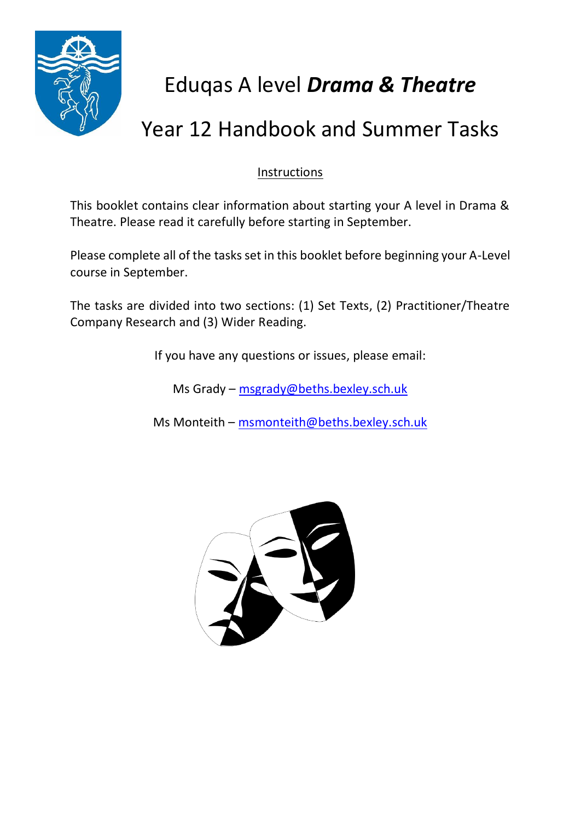

# Eduqas A level *Drama & Theatre*

## Year 12 Handbook and Summer Tasks

#### Instructions

This booklet contains clear information about starting your A level in Drama & Theatre. Please read it carefully before starting in September.

Please complete all of the tasks set in this booklet before beginning your A-Level course in September.

The tasks are divided into two sections: (1) Set Texts, (2) Practitioner/Theatre Company Research and (3) Wider Reading.

If you have any questions or issues, please email:

Ms Grady – [msgrady@beths.bexley.sch.uk](mailto:msgrady@beths.bexley.sch.uk)

Ms Monteith – [msmonteith@beths.bexley.sch.uk](mailto:msmonteith@beths.bexley.sch.uk)

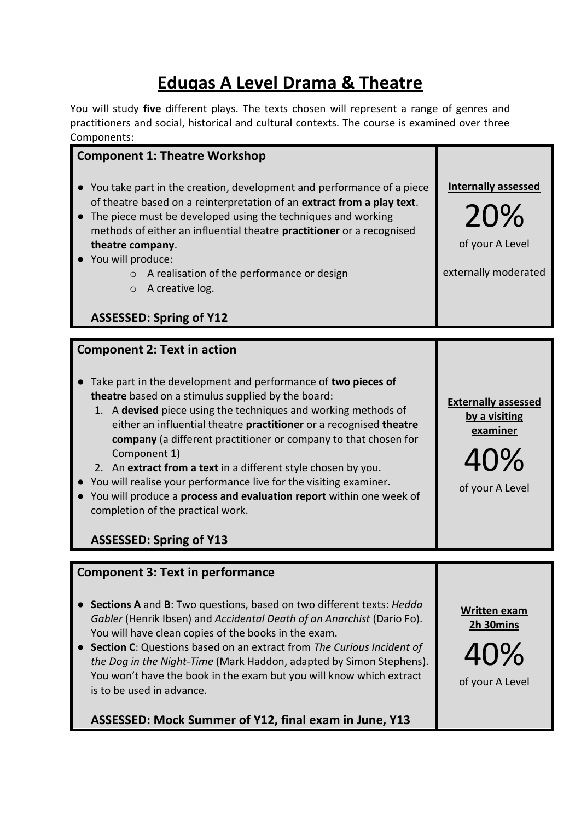## **Eduqas A Level Drama & Theatre**

You will study **five** different plays. The texts chosen will represent a range of genres and practitioners and social, historical and cultural contexts. The course is examined over three Components:

| <b>Component 1: Theatre Workshop</b>                                                                                                                                                                                                                                                                                                                                                                                                                                                                                                                                                                                                                                     |                                                                                   |
|--------------------------------------------------------------------------------------------------------------------------------------------------------------------------------------------------------------------------------------------------------------------------------------------------------------------------------------------------------------------------------------------------------------------------------------------------------------------------------------------------------------------------------------------------------------------------------------------------------------------------------------------------------------------------|-----------------------------------------------------------------------------------|
| You take part in the creation, development and performance of a piece<br>of theatre based on a reinterpretation of an extract from a play text.<br>The piece must be developed using the techniques and working<br>methods of either an influential theatre <b>practitioner</b> or a recognised<br>theatre company.<br>You will produce:<br>o A realisation of the performance or design<br>A creative log.<br>$\circ$<br><b>ASSESSED: Spring of Y12</b>                                                                                                                                                                                                                 | <b>Internally assessed</b><br>20%<br>of your A Level<br>externally moderated      |
|                                                                                                                                                                                                                                                                                                                                                                                                                                                                                                                                                                                                                                                                          |                                                                                   |
| <b>Component 2: Text in action</b><br>Take part in the development and performance of two pieces of<br>theatre based on a stimulus supplied by the board:<br>1. A devised piece using the techniques and working methods of<br>either an influential theatre practitioner or a recognised theatre<br>company (a different practitioner or company to that chosen for<br>Component 1)<br>2. An extract from a text in a different style chosen by you.<br>You will realise your performance live for the visiting examiner.<br>You will produce a process and evaluation report within one week of<br>completion of the practical work.<br><b>ASSESSED: Spring of Y13</b> | <b>Externally assessed</b><br>by a visiting<br>examiner<br>40%<br>of your A Level |
| <b>Component 3: Text in performance</b>                                                                                                                                                                                                                                                                                                                                                                                                                                                                                                                                                                                                                                  |                                                                                   |
| <b>Sections A</b> and <b>B</b> : Two questions, based on two different texts: <i>Hedda</i><br>Gabler (Henrik Ibsen) and Accidental Death of an Anarchist (Dario Fo).<br>You will have clean copies of the books in the exam.<br>Section C: Questions based on an extract from The Curious Incident of<br>the Dog in the Night-Time (Mark Haddon, adapted by Simon Stephens).<br>You won't have the book in the exam but you will know which extract<br>is to be used in advance.<br>ASSESSED: Mock Summer of Y12, final exam in June, Y13                                                                                                                                | <b>Written exam</b><br>2h 30mins<br>40%<br>of your A Level                        |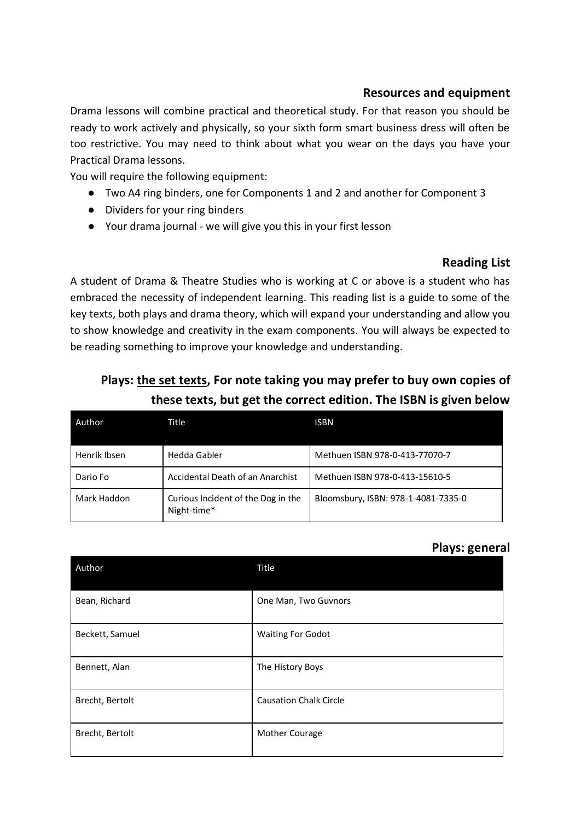#### **Resources and equipment**

Drama lessons will combine practical and theoretical study. For that reason you should be ready to work actively and physically, so your sixth form smart business dress will often be too restrictive. You may need to think about what you wear on the days you have your Practical Drama lessons.

You will require the following equipment:

- Two A4 ring binders, one for Components 1 and 2 and another for Component 3
- Dividers for your ring binders
- Your drama journal we will give you this in your first lesson

#### **Reading List**

A student of Drama & Theatre Studies who is working at C or above is a student who has embraced the necessity of independent learning. This reading list is a guide to some of the key texts, both plays and drama theory, which will expand your understanding and allow you to show knowledge and creativity in the exam components. You will always be expected to be reading something to improve your knowledge and understanding.

### **Plays: the set texts, For note taking you may prefer to buy own copies of these texts, but get the correct edition. The ISBN is given below**

| Author       | Title                                             | <b>ISBN</b>                         |
|--------------|---------------------------------------------------|-------------------------------------|
| Henrik Ibsen | Hedda Gabler                                      | Methuen ISBN 978-0-413-77070-7      |
| Dario Fo     | Accidental Death of an Anarchist                  | Methuen ISBN 978-0-413-15610-5      |
| Mark Haddon  | Curious Incident of the Dog in the<br>Night-time* | Bloomsbury, ISBN: 978-1-4081-7335-0 |

#### **Plays: general**

| Author          | Title                         |
|-----------------|-------------------------------|
| Bean, Richard   | One Man, Two Guvnors          |
| Beckett, Samuel | <b>Waiting For Godot</b>      |
| Bennett, Alan   | The History Boys              |
| Brecht, Bertolt | <b>Causation Chalk Circle</b> |
| Brecht, Bertolt | Mother Courage                |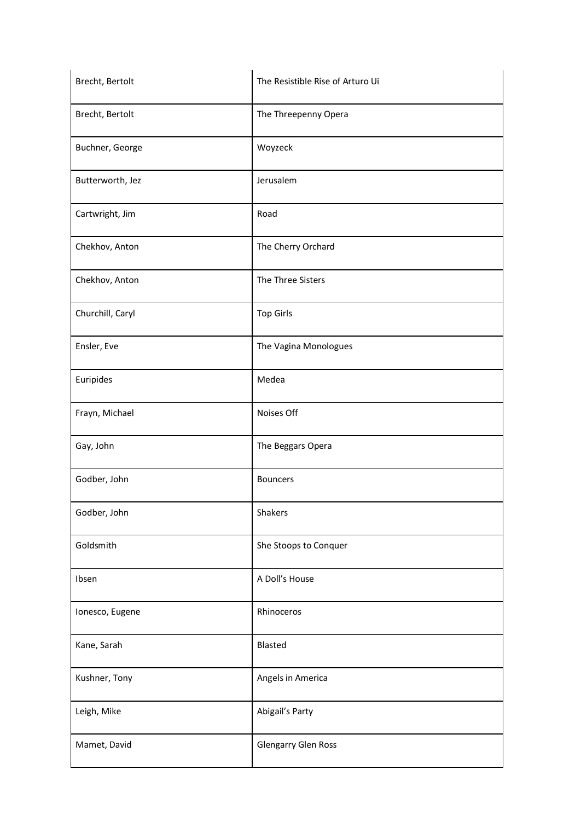| Brecht, Bertolt  | The Resistible Rise of Arturo Ui |
|------------------|----------------------------------|
| Brecht, Bertolt  | The Threepenny Opera             |
| Buchner, George  | Woyzeck                          |
| Butterworth, Jez | Jerusalem                        |
| Cartwright, Jim  | Road                             |
| Chekhov, Anton   | The Cherry Orchard               |
| Chekhov, Anton   | The Three Sisters                |
| Churchill, Caryl | <b>Top Girls</b>                 |
| Ensler, Eve      | The Vagina Monologues            |
| Euripides        | Medea                            |
| Frayn, Michael   | Noises Off                       |
| Gay, John        | The Beggars Opera                |
| Godber, John     | <b>Bouncers</b>                  |
| Godber, John     | Shakers                          |
| Goldsmith        | She Stoops to Conquer            |
| Ibsen            | A Doll's House                   |
| Ionesco, Eugene  | Rhinoceros                       |
| Kane, Sarah      | Blasted                          |
| Kushner, Tony    | Angels in America                |
| Leigh, Mike      | Abigail's Party                  |
| Mamet, David     | <b>Glengarry Glen Ross</b>       |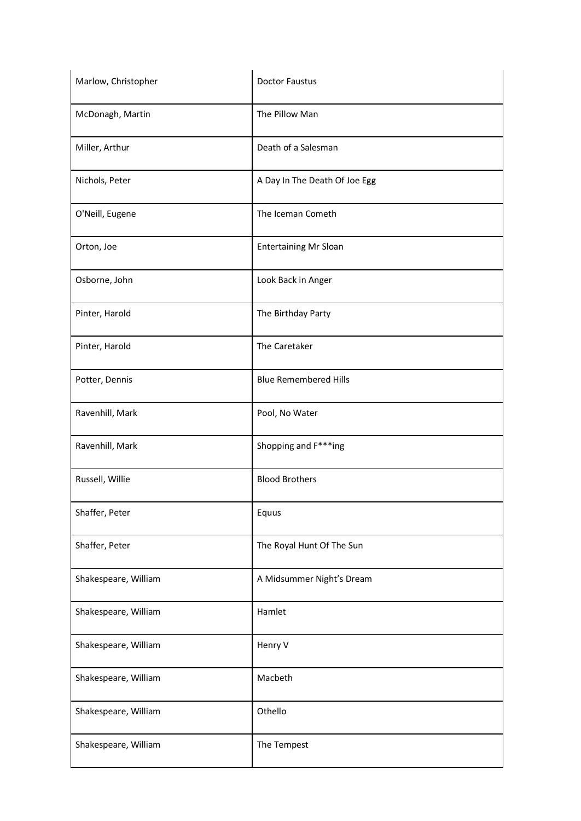| Marlow, Christopher  | <b>Doctor Faustus</b>         |
|----------------------|-------------------------------|
| McDonagh, Martin     | The Pillow Man                |
| Miller, Arthur       | Death of a Salesman           |
| Nichols, Peter       | A Day In The Death Of Joe Egg |
| O'Neill, Eugene      | The Iceman Cometh             |
| Orton, Joe           | <b>Entertaining Mr Sloan</b>  |
| Osborne, John        | Look Back in Anger            |
| Pinter, Harold       | The Birthday Party            |
| Pinter, Harold       | The Caretaker                 |
| Potter, Dennis       | <b>Blue Remembered Hills</b>  |
| Ravenhill, Mark      | Pool, No Water                |
| Ravenhill, Mark      | Shopping and F***ing          |
| Russell, Willie      | <b>Blood Brothers</b>         |
| Shaffer, Peter       | Equus                         |
| Shaffer, Peter       | The Royal Hunt Of The Sun     |
| Shakespeare, William | A Midsummer Night's Dream     |
| Shakespeare, William | Hamlet                        |
| Shakespeare, William | Henry V                       |
| Shakespeare, William | Macbeth                       |
| Shakespeare, William | Othello                       |
| Shakespeare, William | The Tempest                   |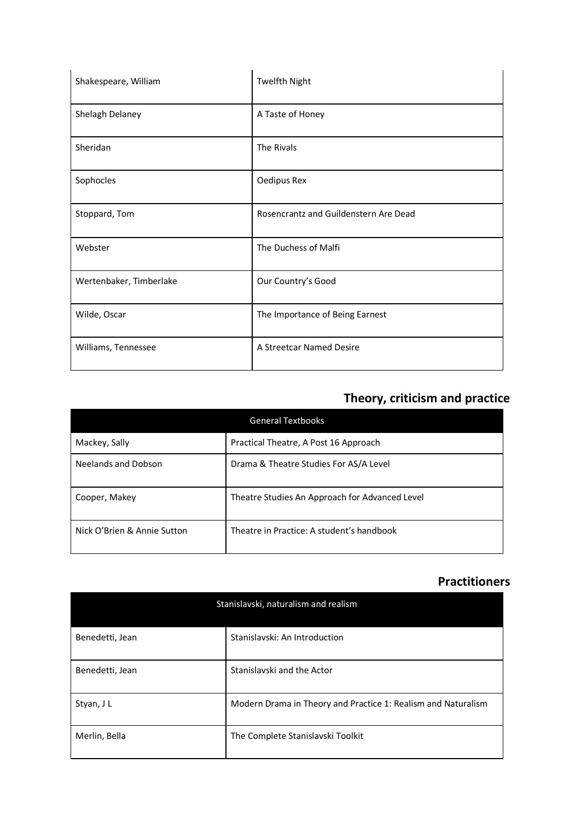| Shakespeare, William    | <b>Twelfth Night</b>                  |
|-------------------------|---------------------------------------|
| Shelagh Delaney         | A Taste of Honey                      |
| Sheridan                | The Rivals                            |
| Sophocles               | Oedipus Rex                           |
| Stoppard, Tom           | Rosencrantz and Guildenstern Are Dead |
| Webster                 | The Duchess of Malfi                  |
| Wertenbaker, Timberlake | Our Country's Good                    |
| Wilde, Oscar            | The Importance of Being Earnest       |
| Williams, Tennessee     | A Streetcar Named Desire              |

### **Theory, criticism and practice**

| <b>General Textbooks</b>    |                                                |  |
|-----------------------------|------------------------------------------------|--|
| Mackey, Sally               | Practical Theatre, A Post 16 Approach          |  |
| Neelands and Dobson         | Drama & Theatre Studies For AS/A Level         |  |
| Cooper, Makey               | Theatre Studies An Approach for Advanced Level |  |
| Nick O'Brien & Annie Sutton | Theatre in Practice: A student's handbook      |  |

#### **Practitioners**

| Stanislavski, naturalism and realism |                                                               |  |
|--------------------------------------|---------------------------------------------------------------|--|
| Benedetti, Jean                      | Stanislavski: An Introduction                                 |  |
| Benedetti, Jean                      | Stanislavski and the Actor                                    |  |
| Styan, J L                           | Modern Drama in Theory and Practice 1: Realism and Naturalism |  |
| Merlin, Bella                        | The Complete Stanislavski Toolkit                             |  |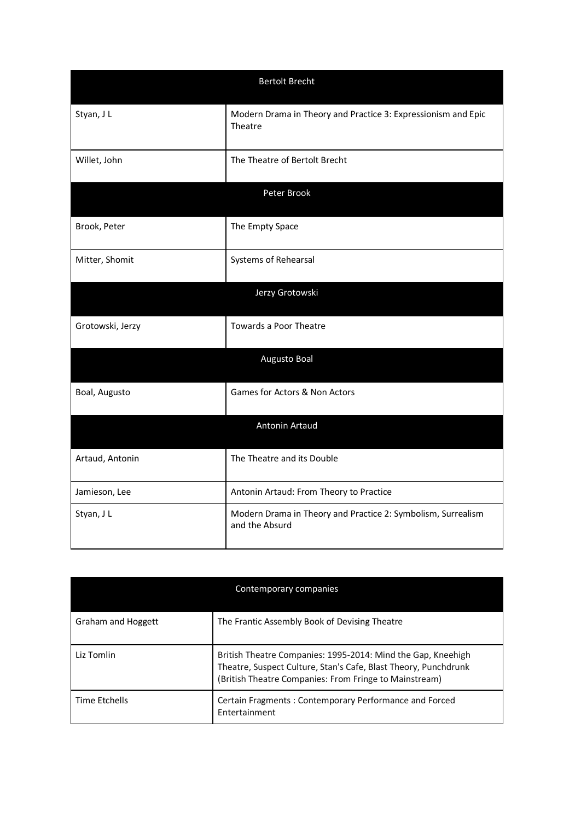| <b>Bertolt Brecht</b> |                                                                                |  |  |
|-----------------------|--------------------------------------------------------------------------------|--|--|
| Styan, J L            | Modern Drama in Theory and Practice 3: Expressionism and Epic<br>Theatre       |  |  |
| Willet, John          | The Theatre of Bertolt Brecht                                                  |  |  |
|                       | Peter Brook                                                                    |  |  |
| Brook, Peter          | The Empty Space                                                                |  |  |
| Mitter, Shomit        | Systems of Rehearsal                                                           |  |  |
|                       | Jerzy Grotowski                                                                |  |  |
| Grotowski, Jerzy      | Towards a Poor Theatre                                                         |  |  |
|                       | Augusto Boal                                                                   |  |  |
| Boal, Augusto         | Games for Actors & Non Actors                                                  |  |  |
|                       | Antonin Artaud                                                                 |  |  |
| Artaud, Antonin       | The Theatre and its Double                                                     |  |  |
| Jamieson, Lee         | Antonin Artaud: From Theory to Practice                                        |  |  |
| Styan, JL             | Modern Drama in Theory and Practice 2: Symbolism, Surrealism<br>and the Absurd |  |  |

| Contemporary companies |                                                                                                                                                                                           |  |
|------------------------|-------------------------------------------------------------------------------------------------------------------------------------------------------------------------------------------|--|
| Graham and Hoggett     | The Frantic Assembly Book of Devising Theatre                                                                                                                                             |  |
| Liz Tomlin             | British Theatre Companies: 1995-2014: Mind the Gap, Kneehigh<br>Theatre, Suspect Culture, Stan's Cafe, Blast Theory, Punchdrunk<br>(British Theatre Companies: From Fringe to Mainstream) |  |
| Time Etchells          | Certain Fragments: Contemporary Performance and Forced<br>Entertainment                                                                                                                   |  |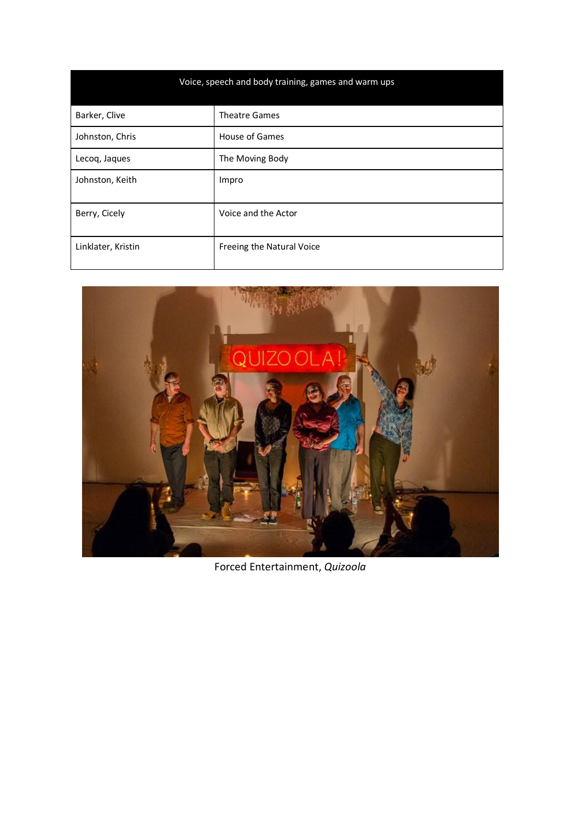| Voice, speech and body training, games and warm ups |                           |  |
|-----------------------------------------------------|---------------------------|--|
| Barker, Clive                                       | <b>Theatre Games</b>      |  |
| Johnston, Chris                                     | House of Games            |  |
| Lecoq, Jaques                                       | The Moving Body           |  |
| Johnston, Keith                                     | Impro                     |  |
| Berry, Cicely                                       | Voice and the Actor       |  |
| Linklater, Kristin                                  | Freeing the Natural Voice |  |



Forced Entertainment, *Quizoola*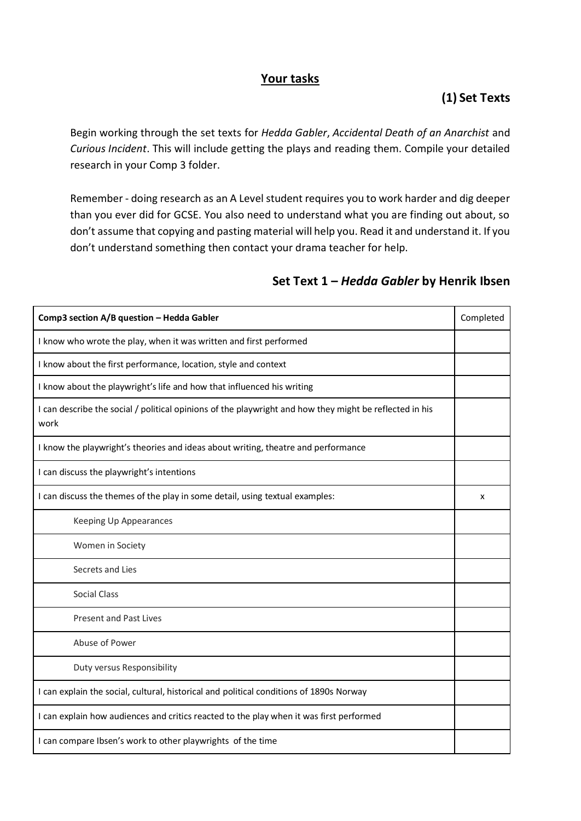#### **Your tasks**

#### **(1) Set Texts**

Begin working through the set texts for *Hedda Gabler*, *Accidental Death of an Anarchist* and *Curious Incident*. This will include getting the plays and reading them. Compile your detailed research in your Comp 3 folder.

Remember - doing research as an A Level student requires you to work harder and dig deeper than you ever did for GCSE. You also need to understand what you are finding out about, so don't assume that copying and pasting material will help you. Read it and understand it. If you don't understand something then contact your drama teacher for help.

| Comp3 section A/B question - Hedda Gabler                                                                       | Completed |
|-----------------------------------------------------------------------------------------------------------------|-----------|
| I know who wrote the play, when it was written and first performed                                              |           |
| I know about the first performance, location, style and context                                                 |           |
| I know about the playwright's life and how that influenced his writing                                          |           |
| I can describe the social / political opinions of the playwright and how they might be reflected in his<br>work |           |
| I know the playwright's theories and ideas about writing, theatre and performance                               |           |
| I can discuss the playwright's intentions                                                                       |           |
| I can discuss the themes of the play in some detail, using textual examples:                                    | X         |
| Keeping Up Appearances                                                                                          |           |
| Women in Society                                                                                                |           |
| Secrets and Lies                                                                                                |           |
| Social Class                                                                                                    |           |
| <b>Present and Past Lives</b>                                                                                   |           |
| Abuse of Power                                                                                                  |           |
| Duty versus Responsibility                                                                                      |           |
| I can explain the social, cultural, historical and political conditions of 1890s Norway                         |           |
| I can explain how audiences and critics reacted to the play when it was first performed                         |           |
| I can compare Ibsen's work to other playwrights of the time                                                     |           |

#### **Set Text 1 –** *Hedda Gabler* **by Henrik Ibsen**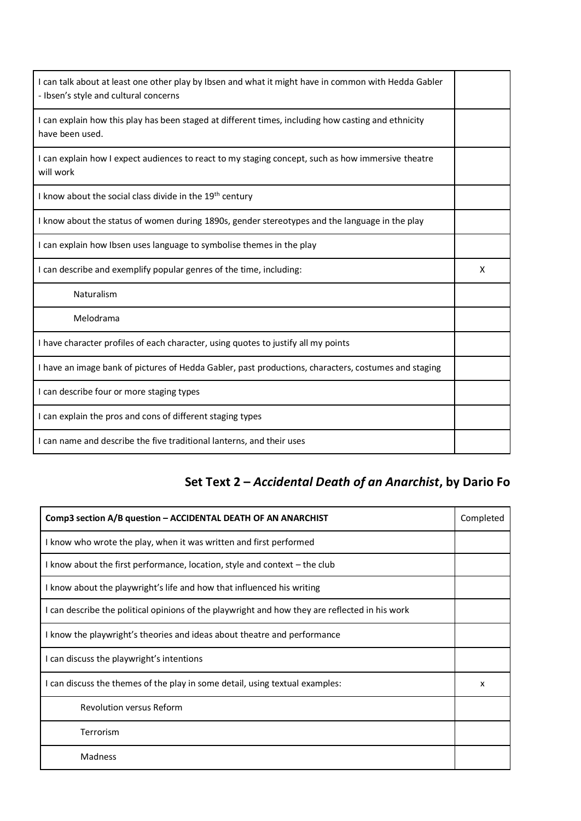| I can talk about at least one other play by Ibsen and what it might have in common with Hedda Gabler<br>- Ibsen's style and cultural concerns |  |
|-----------------------------------------------------------------------------------------------------------------------------------------------|--|
| I can explain how this play has been staged at different times, including how casting and ethnicity<br>have been used.                        |  |
| I can explain how I expect audiences to react to my staging concept, such as how immersive theatre<br>will work                               |  |
| I know about the social class divide in the 19 <sup>th</sup> century                                                                          |  |
| I know about the status of women during 1890s, gender stereotypes and the language in the play                                                |  |
| I can explain how Ibsen uses language to symbolise themes in the play                                                                         |  |
| I can describe and exemplify popular genres of the time, including:                                                                           |  |
| Naturalism                                                                                                                                    |  |
| Melodrama                                                                                                                                     |  |
| I have character profiles of each character, using quotes to justify all my points                                                            |  |
| I have an image bank of pictures of Hedda Gabler, past productions, characters, costumes and staging                                          |  |
| I can describe four or more staging types                                                                                                     |  |
| I can explain the pros and cons of different staging types                                                                                    |  |
| I can name and describe the five traditional lanterns, and their uses                                                                         |  |

## **Set Text 2 –** *Accidental Death of an Anarchist***, by Dario Fo**

| Comp3 section A/B question - ACCIDENTAL DEATH OF AN ANARCHIST                                  |  |
|------------------------------------------------------------------------------------------------|--|
| I know who wrote the play, when it was written and first performed                             |  |
| I know about the first performance, location, style and context – the club                     |  |
| I know about the playwright's life and how that influenced his writing                         |  |
| I can describe the political opinions of the playwright and how they are reflected in his work |  |
| I know the playwright's theories and ideas about theatre and performance                       |  |
| I can discuss the playwright's intentions                                                      |  |
| I can discuss the themes of the play in some detail, using textual examples:                   |  |
| <b>Revolution versus Reform</b>                                                                |  |
| Terrorism                                                                                      |  |
| Madness                                                                                        |  |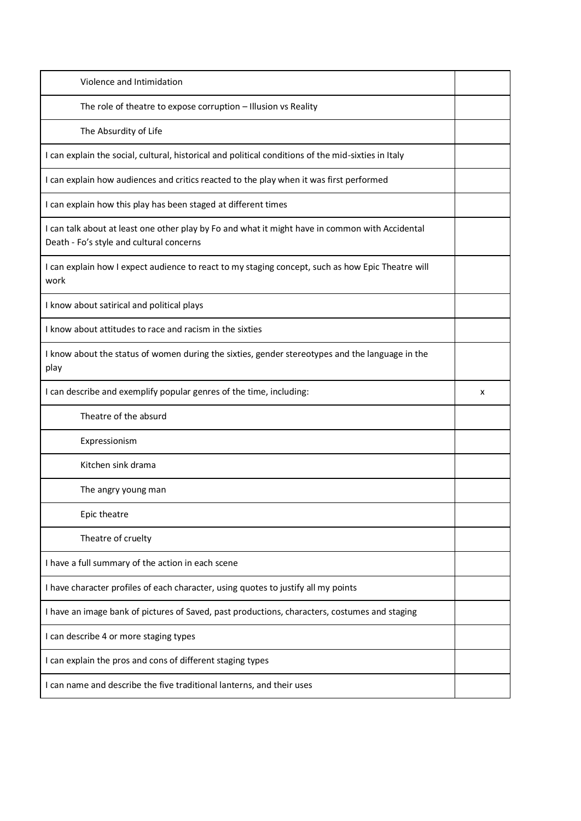| Violence and Intimidation                                                                                                                   |   |
|---------------------------------------------------------------------------------------------------------------------------------------------|---|
| The role of theatre to expose corruption - Illusion vs Reality                                                                              |   |
| The Absurdity of Life                                                                                                                       |   |
| I can explain the social, cultural, historical and political conditions of the mid-sixties in Italy                                         |   |
| I can explain how audiences and critics reacted to the play when it was first performed                                                     |   |
| I can explain how this play has been staged at different times                                                                              |   |
| I can talk about at least one other play by Fo and what it might have in common with Accidental<br>Death - Fo's style and cultural concerns |   |
| I can explain how I expect audience to react to my staging concept, such as how Epic Theatre will<br>work                                   |   |
| I know about satirical and political plays                                                                                                  |   |
| I know about attitudes to race and racism in the sixties                                                                                    |   |
| I know about the status of women during the sixties, gender stereotypes and the language in the<br>play                                     |   |
| I can describe and exemplify popular genres of the time, including:                                                                         | x |
| Theatre of the absurd                                                                                                                       |   |
| Expressionism                                                                                                                               |   |
|                                                                                                                                             |   |
| Kitchen sink drama                                                                                                                          |   |
| The angry young man                                                                                                                         |   |
| Epic theatre                                                                                                                                |   |
| Theatre of cruelty                                                                                                                          |   |
| I have a full summary of the action in each scene                                                                                           |   |
| I have character profiles of each character, using quotes to justify all my points                                                          |   |
| I have an image bank of pictures of Saved, past productions, characters, costumes and staging                                               |   |
| I can describe 4 or more staging types                                                                                                      |   |
| I can explain the pros and cons of different staging types                                                                                  |   |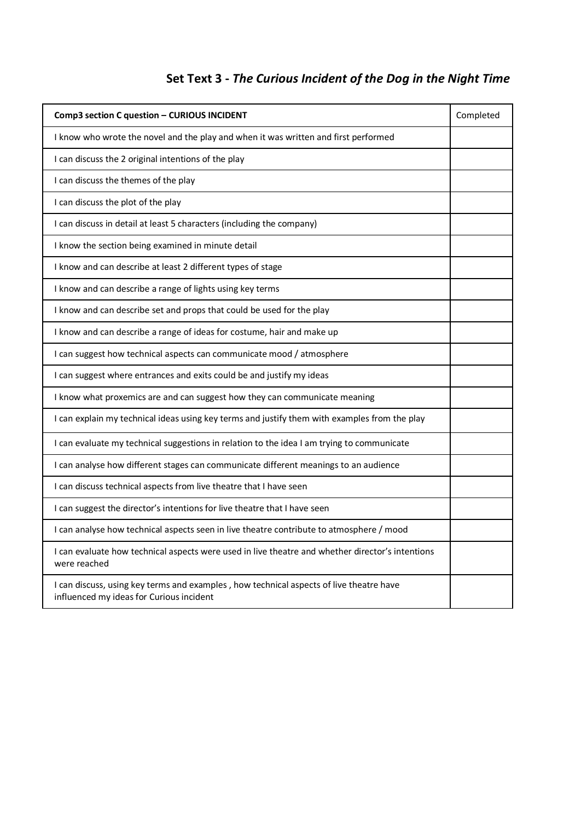## **Set Text 3 -** *The Curious Incident of the Dog in the Night Time*

| Comp3 section C question - CURIOUS INCIDENT                                                                                         |  |  |
|-------------------------------------------------------------------------------------------------------------------------------------|--|--|
| I know who wrote the novel and the play and when it was written and first performed                                                 |  |  |
| I can discuss the 2 original intentions of the play                                                                                 |  |  |
| I can discuss the themes of the play                                                                                                |  |  |
| I can discuss the plot of the play                                                                                                  |  |  |
| I can discuss in detail at least 5 characters (including the company)                                                               |  |  |
| I know the section being examined in minute detail                                                                                  |  |  |
| I know and can describe at least 2 different types of stage                                                                         |  |  |
| I know and can describe a range of lights using key terms                                                                           |  |  |
| I know and can describe set and props that could be used for the play                                                               |  |  |
| I know and can describe a range of ideas for costume, hair and make up                                                              |  |  |
| I can suggest how technical aspects can communicate mood / atmosphere                                                               |  |  |
| I can suggest where entrances and exits could be and justify my ideas                                                               |  |  |
| I know what proxemics are and can suggest how they can communicate meaning                                                          |  |  |
| I can explain my technical ideas using key terms and justify them with examples from the play                                       |  |  |
| I can evaluate my technical suggestions in relation to the idea I am trying to communicate                                          |  |  |
| I can analyse how different stages can communicate different meanings to an audience                                                |  |  |
| I can discuss technical aspects from live theatre that I have seen                                                                  |  |  |
| I can suggest the director's intentions for live theatre that I have seen                                                           |  |  |
| I can analyse how technical aspects seen in live theatre contribute to atmosphere / mood                                            |  |  |
| I can evaluate how technical aspects were used in live theatre and whether director's intentions<br>were reached                    |  |  |
| I can discuss, using key terms and examples, how technical aspects of live theatre have<br>influenced my ideas for Curious incident |  |  |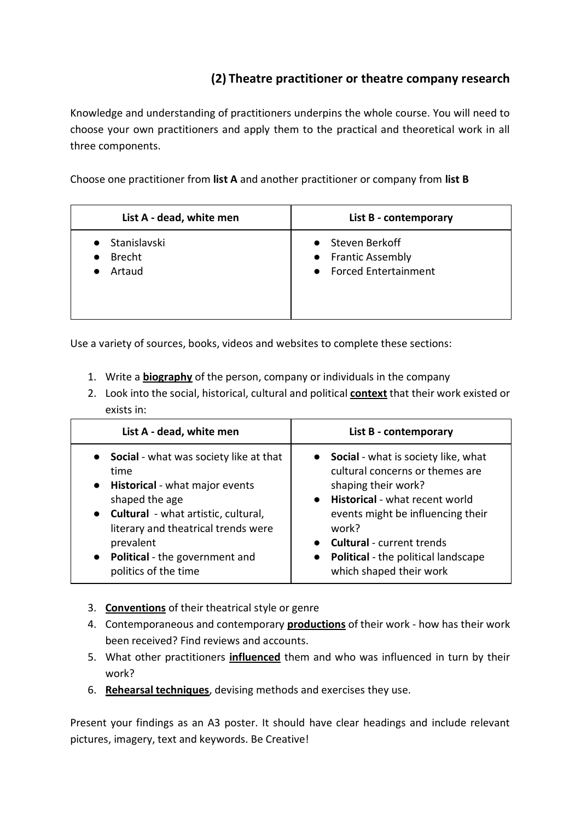#### **(2) Theatre practitioner or theatre company research**

Knowledge and understanding of practitioners underpins the whole course. You will need to choose your own practitioners and apply them to the practical and theoretical work in all three components.

Choose one practitioner from **list A** and another practitioner or company from **list B**

| List A - dead, white men                                            | List B - contemporary                                            |
|---------------------------------------------------------------------|------------------------------------------------------------------|
| • Stanislavski<br><b>Brecht</b><br>$\bullet$<br>Artaud<br>$\bullet$ | • Steven Berkoff<br>• Frantic Assembly<br>• Forced Entertainment |

Use a variety of sources, books, videos and websites to complete these sections:

- 1. Write a **biography** of the person, company or individuals in the company
- 2. Look into the social, historical, cultural and political **context** that their work existed or exists in:

| List A - dead, white men                                                                                                                                                                                                                                                   | List B - contemporary                                                                                                                                                                                                                                                                                             |
|----------------------------------------------------------------------------------------------------------------------------------------------------------------------------------------------------------------------------------------------------------------------------|-------------------------------------------------------------------------------------------------------------------------------------------------------------------------------------------------------------------------------------------------------------------------------------------------------------------|
| • Social - what was society like at that<br>time<br>• Historical - what major events<br>shaped the age<br>• Cultural - what artistic, cultural,<br>literary and theatrical trends were<br>prevalent<br>Political - the government and<br>$\bullet$<br>politics of the time | • Social - what is society like, what<br>cultural concerns or themes are<br>shaping their work?<br>• Historical - what recent world<br>events might be influencing their<br>work?<br><b>Cultural</b> - current trends<br>$\bullet$<br>Political - the political landscape<br>$\bullet$<br>which shaped their work |

- 3. **Conventions** of their theatrical style or genre
- 4. Contemporaneous and contemporary **productions** of their work how has their work been received? Find reviews and accounts.
- 5. What other practitioners **influenced** them and who was influenced in turn by their work?
- 6. **Rehearsal techniques**, devising methods and exercises they use.

Present your findings as an A3 poster. It should have clear headings and include relevant pictures, imagery, text and keywords. Be Creative!